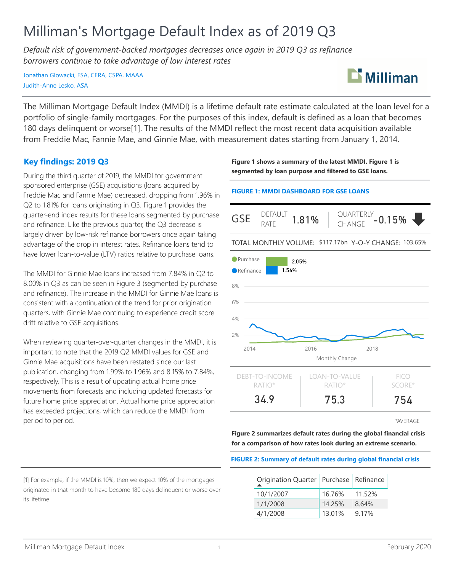# Milliman's Mortgage Default Index as of 2019 Q3

*Default risk of government-backed mortgages decreases once again in 2019 Q3 as refinance borrowers continue to take advantage of low interest rates*

Jonathan Glowacki, FSA, CERA, CSPA, MAAA Judith-Anne Lesko, ASA



The Milliman Mortgage Default Index (MMDI) is a lifetime default rate estimate calculated at the loan level for a portfolio of single-family mortgages. For the purposes of this index, default is defined as a loan that becomes 180 days delinquent or worse[1]. The results of the MMDI reflect the most recent data acquisition available from Freddie Mac, Fannie Mae, and Ginnie Mae, with measurement dates starting from January 1, 2014.

## **Key findings: 2019 Q3**

During the third quarter of 2019, the MMDI for governmentsponsored enterprise (GSE) acquisitions (loans acquired by Freddie Mac and Fannie Mae) decreased, dropping from 1.96% in Q2 to 1.81% for loans originating in Q3. Figure 1 provides the quarter-end index results for these loans segmented by purchase and refinance. Like the previous quarter, the Q3 decrease is largely driven by low-risk refinance borrowers once again taking advantage of the drop in interest rates. Refinance loans tend to have lower loan-to-value (LTV) ratios relative to purchase loans.

The MMDI for Ginnie Mae loans increased from 7.84% in Q2 to 8.00% in Q3 as can be seen in Figure 3 (segmented by purchase and refinance). The increase in the MMDI for Ginnie Mae loans is consistent with a continuation of the trend for prior origination quarters, with Ginnie Mae continuing to experience credit score drift relative to GSE acquisitions.

When reviewing quarter-over-quarter changes in the MMDI, it is important to note that the 2019 Q2 MMDI values for GSE and Ginnie Mae acquisitions have been restated since our last publication, changing from 1.99% to 1.96% and 8.15% to 7.84%, respectively. This is a result of updating actual home price movements from forecasts and including updated forecasts for future home price appreciation. Actual home price appreciation has exceeded projections, which can reduce the MMDI from period to period.

**Figure 1 shows a summary of the latest MMDI. Figure 1 is segmented by loan purpose and filtered to GSE loans.**

#### **FIGURE 1: MMDI DASHBOARD FOR GSE LOANS**



\*AVERAGE

**Figure 2 summarizes default rates during the global financial crisis for a comparison of how rates look during an extreme scenario.**

#### **FIGURE 2: Summary of default rates during global financial crisis**

| Origination Quarter   Purchase   Refinance |        |        |
|--------------------------------------------|--------|--------|
| 10/1/2007                                  | 16.76% | 11.52% |
| 1/1/2008                                   | 14.25% | 8.64%  |
| 4/1/2008                                   | 13.01% | 9.17%  |

[1] For example, if the MMDI is 10%, then we expect 10% of the mortgages originated in that month to have become 180 days delinquent or worse over its lifetime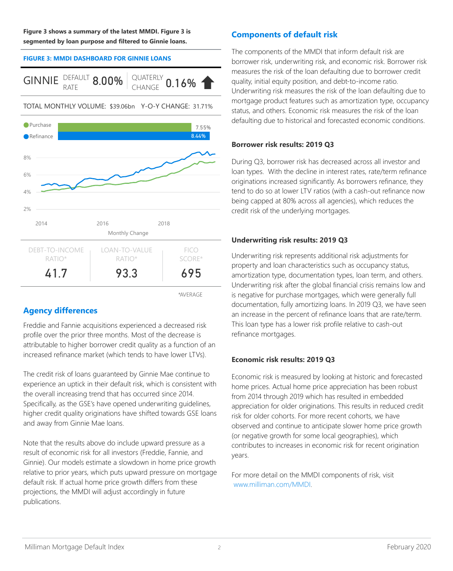**Figure 3 shows a summary of the latest MMDI. Figure 3 is segmented by loan purpose and filtered to Ginnie loans.**

#### **FIGURE 3: MMDI DASHBOARD FOR GINNIE LOANS**





TOTAL MONTHLY VOLUME: \$39.06bn Y-O-Y CHANGE: 31.71%

\*AVERAGE

# **Agency differences**

Freddie and Fannie acquisitions experienced a decreased risk profile over the prior three months. Most of the decrease is attributable to higher borrower credit quality as a function of an increased refinance market (which tends to have lower LTVs).

The credit risk of loans guaranteed by Ginnie Mae continue to experience an uptick in their default risk, which is consistent with the overall increasing trend that has occurred since 2014. Specifically, as the GSE's have opened underwriting guidelines, higher credit quality originations have shifted towards GSE loans and away from Ginnie Mae loans.

Note that the results above do include upward pressure as a result of economic risk for all investors (Freddie, Fannie, and Ginnie). Our models estimate a slowdown in home price growth relative to prior years, which puts upward pressure on mortgage default risk. If actual home price growth differs from these projections, the MMDI will adjust accordingly in future publications.

# **Components of default risk**

The components of the MMDI that inform default risk are borrower risk, underwriting risk, and economic risk. Borrower risk measures the risk of the loan defaulting due to borrower credit quality, initial equity position, and debt-to-income ratio. Underwriting risk measures the risk of the loan defaulting due to mortgage product features such as amortization type, occupancy status, and others. Economic risk measures the risk of the loan defaulting due to historical and forecasted economic conditions.

## **Borrower risk results: 2019 Q3**

During Q3, borrower risk has decreased across all investor and loan types. With the decline in interest rates, rate/term refinance originations increased significantly. As borrowers refinance, they tend to do so at lower LTV ratios (with a cash-out refinance now being capped at 80% across all agencies), which reduces the credit risk of the underlying mortgages.

## **Underwriting risk results: 2019 Q3**

Underwriting risk represents additional risk adjustments for property and loan characteristics such as occupancy status, amortization type, documentation types, loan term, and others. Underwriting risk after the global financial crisis remains low and is negative for purchase mortgages, which were generally full documentation, fully amortizing loans. In 2019 Q3, we have seen an increase in the percent of refinance loans that are rate/term. This loan type has a lower risk profile relative to cash-out refinance mortgages.

## **Economic risk results: 2019 Q3**

Economic risk is measured by looking at historic and forecasted home prices. Actual home price appreciation has been robust from 2014 through 2019 which has resulted in embedded appreciation for older originations. This results in reduced credit risk for older cohorts. For more recent cohorts, we have observed and continue to anticipate slower home price growth (or negative growth for some local geographies), which contributes to increases in economic risk for recent origination years.

For more detail on the MMDI components of risk, visit www.milliman.com/MMDI.